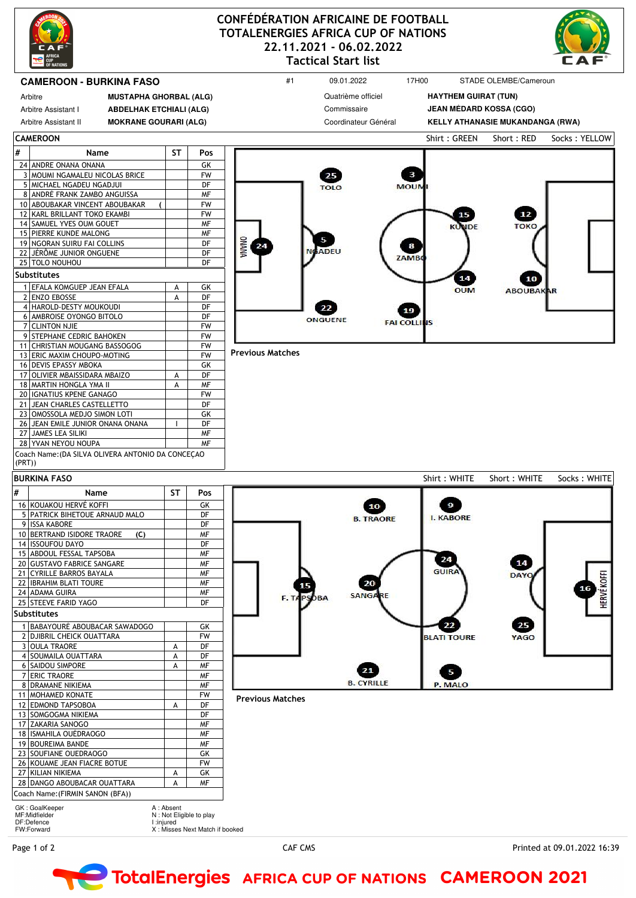

## **CONFÉDÉRATION AFRICAINE DE FOOTBALL TOTALENERGIES AFRICA CUP OF NATIONS 22.11.2021 - 06.02.2022 Tactical Start list**



## **CAMEROON - BURKINA FASO 17H00 STADE OLEMBE/Cameroun #1** 09.01.2022 17H00 STADE OLEMBE/Cameroun Quatrième officiel **HAYTHEM GUIRAT (TUN)** Arbitre **MUSTAPHA GHORBAL (ALG)** Commissaire **JEAN MÉDARD KOSSA (CGO)** Arbitre Assistant I **ABDELHAK ETCHIALI (ALG)** Arbitre Assistant II **MOKRANE GOURARI (ALG)** Coordinateur Général **KELLY ATHANASIE MUKANDANGA (RWA) CAMEROON** Shirt : GREEN Short : RED Socks : YELLOW **# Name ST Pos** 24 ANDRE ONANA ONANA GK 3 MOUMI NGAMALEU NICOLAS BRICE FW  $\mathbf{3}$ 5 MICHAEL NGADEU NGADJUI DF MOUR 8 ANDRÉ FRANK ZAMBO ANGUISSA MF METALL METALL METALL METALL METALL METALL METALL METALL METALL METALL METALL M<br>IO ABOUBAKAR VINCENT ABOUBAKAR (NETTER METALL METALL METALL METALL METALL METALL METALL METALL METALL METALL M 10 ABOUBAKAR VINCENT ABOUBAKAR 12 KARL BRILLANT TOKO EKAMBI FW 15 12 14 SAMUEL YVES OUM GOUET NF **JDF** TOKO 15 PIERRE KUNDE MALONG NEWSLETTER AFTER 5 19 NGORAN SUIRU FAI COLLINS DF **DINAMA**  $\bf{8}$ 21 **ADFU** 22 JÉRÔME JUNIOR ONGUENE DF ZAMB 25 TOLO NOUHOU **Substitutes** 14 1 EFALA KOMGUEP JEAN EFALA A GK<br>2 ENZO EBOSSE A DF OUN ABOUBA 2 ENZO EBOSSE A 4 HAROLD-DESTY MOUKOUDI DF 19 6 AMBROISE OYONGO BITOLO **DEPARTMENT OF STATISTIC CONGO** ONGUENE **FAI COLL** 7 CLINTON NJIE<br>9 STEPHANE CEDRIC BAHOKEN FW 9 STEPHANE CEDRIC BAHOKEN 11 CHRISTIAN MOUGANG BASSOGOG FW **Previous Matches** 13 ERIC MAXIM CHOUPO-MOTING 16 DEVIS EPASSY MBOKA **GK** 17 OLIVIER MBAISSIDARA MBAIZO | A DF 18 MARTIN HONGLA YMA II A MF<br>20 IGNATIUS KPENE GANAGO FW 20 IGNATIUS KPENE GANAGO<br>21 JEAN CHARLES CASTELLETTO 21 JEAN CHARLES CASTELLETTO DF<br>23 OMOSSOLA MEDJO SIMON LOTI GK 23 OMOSSOLA MEDJO SIMON LOTI 26 JEAN EMILE JUNIOR ONANA ONANA | I DF 27 JAMES LEA SILIKI MF 28 YVAN NEYOU NOUPA NEWSLAU Coach Name:(DA SILVA OLIVERA ANTONIO DA CONCEÇAO (PRT)) Shirt : WHITE Short : WHITE Socks : WHITE **BURKINA FASO # Name ST Pos** 16 KOUAKOU HERVÉ KOFFI **SALA NA SALA SEKONAKOU HERVÉ KOFFI** GK 10 9 5 PATRICK BIHETOUE ARNAUD MALO **B. TRAORE I. KABORE** 9 ISSA KABORE DF 10 BERTRAND ISIDORE TRAORE **(C)** MF 14 ISSOUFOU DAYO DF 15 ABDOUL FESSAL TAPSOBA 24 14 20 GUSTAVO FABRICE SANGARE **MELLES** GUIR 21 CYRILLE BARROS BAYALA NEW ME **DAY** 22 IBRAHIM BLATI TOURE NE MF 20 24 ADAMA GUIRA<br>25 STEEVE FARID YAGO DE DE DE DE **SANG** F.T. **BA** 25 STEEVE FARID YAGO **Substitutes** 1 BABAYOURÉ ABOUBACAR SAWADOGO | GK 22 25 2 DJIBRIL CHEICK OUATTARA PW **BLATI TOURE** YAGO OULA TRAORE A DF 4 SOUMAILA OUATTARA A A DF 6 SAIDOU SIMPORE A MF 21 5 7 ERIC TRAORE NETWORK **B. CYRILLE** 8 DRAMANE NIKIEMA MF P. MALO 11 MOHAMED KONATE THE RESERVE THAT THE RESERVE THAT THE RESERVE THAT THE RESERVE THAT THE RESERVE THAT THE RES **Previous Matches** 12 EDMOND TAPSOBOA A A DF 13 SOMGOGMA NIKIEMA DF 17 ZAKARIA SANOGO MEREKARIA SANOGO MEREKARIA DI AMERIKAN DI AMERIKAN DI AMERIKAN DI AMERIKAN DI AMERIKAN DI A<br>TANGGA MEREKARI DI AMERIKAN DI AMERIKAN DI AMERIKAN DI AMERIKAN DI AMERIKAN DI AMERIKAN DI AMERIKAN DI AMERIKA 18 ISMAHILA OUÉDRAOGO MF 19 BOUREIMA BANDE NEWSLET STATE STATE STATE AND ME 23 SOUFIANE OUEDRAOGO GK 26 KOUAME JEAN FIACRE BOTUE FW 27 KILIAN NIKIEMA A GK 28 DANGO ABOUBACAR OUATTARA A MF Coach Name:(FIRMIN SANON (BFA)) GK : GoalKeeper MF:Midfielder A : Absent N : Not Eligible to play DF:Defence I :injured FW:Forward X : Misses Next Match if booked

Page 1 of 2 CAF CMS Printed at 09.01.2022 16:39

**HERVÉ KOFFI** 

## TotalEnergies AFRICA CUP OF NATIONS CAMEROON 2021